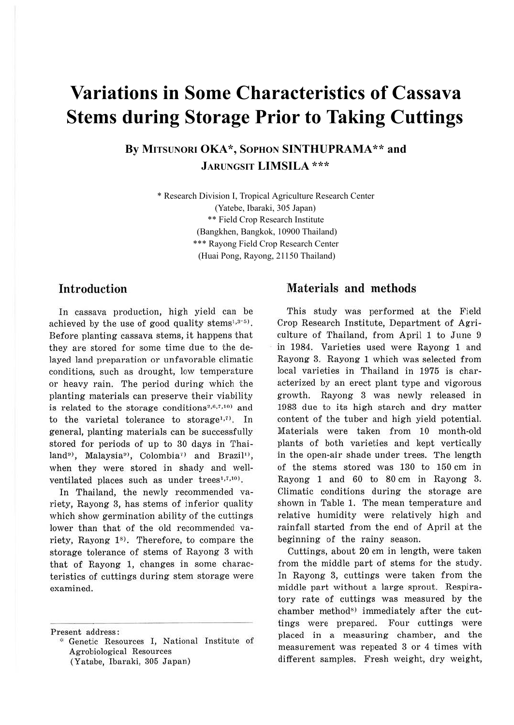# **Variations in Some Characteristics of Cassava Stems during Storage Prior to Taking Cuttings**

**By MITSUNORI OKA\*, SOPHON SINTHUPRAMA\*\* and JARUNGSIT LIMSILA \*\*\***

> \* Research Division I, Tropical Agriculture Research Center (Yatebe, Ibaraki, 305 Japan) \*\* Field Crop Research Institute (Bangkhen, Bangkok, 10900 Thailand) \*\*\* Rayong Field Crop Research Center (Huai Pong, Rayong, 21150 Thailand)

## **Introduction**

In cassava production, high yield can be achieved by the use of good quality stems $1,3-5$ . Before planting cassava stems, it happens that they are stored for some time due to the delayed land preparation or unfavorable climatic conditions, such as drought, low temperature or heavy rain. The period during which the planting materials can preserve their viability is related to the storage conditions<sup>2,6,7,10</sup> and to the varietal tolerance to storage<sup>1,7)</sup>. In general, planting materials can be successfully stored for periods of up to 30 days in Thailand<sup>9)</sup>, Malaysia<sup>9</sup>), Colombia<sup>7</sup> and Brazil<sup>1</sup>), when they were stored in shady and wellventilated places such as under trees<sup>1,7,10</sup>.

In Thailand, the newly recommended variety, Rayong 3, has stems of inferior quality which show germination ability of the cuttings lower than that of the old recommended variety, Rayong  $1<sup>s</sup>$ . Therefore, to compare the storage tolerance of stems of Rayong 3 with that of Rayong l, changes in some characteristics of cuttings during stem storage were examined.

Present address:

## **Materials and methods**

This study was performed at the Field Crop Research Institute, Department of Agriculture of Thailand, from April 1 to June 9 in 1984. Varieties used were Rayong 1 and Rayong 3. Rayong 1 which was selected from local varieties in Thailand in 1975 is characterized by an erect plant type and vigorous growth. Rayong 3 was newly released in 1983 due to its high starch and dry matter content of the tuber and high yield potential. Materials were taken from 10 month-old plants of both varieties and kept vertically in the open-air shade under trees. The length of the stems stored was 130 to 150 cm in Rayong 1 and 60 to 80 cm in Rayong 3. Climatic conditions during the storage are shown in Table 1. The mean temperature and relative humidity were relatively high and rainfall started from the end of April at the beginning of the rainy season.

Cuttings, about 20 cm in length, were taken from the middle part of stems for the study. In Rayong 3, cuttings were taken from the middle part without a large sprout. Respiratory rate of cuttings was measured by the chamber method<sup>8)</sup> immediately after the cuttings were prepared. Four cuttings were placed in a measuring chamber, and the measurement was repeated 3 or 4 times with different samples. Fresh weight, dry weight,

<sup>,:,</sup> Genetic Resources I, National Institute of Agrobiological Resources (Yatabe, Ibaraki, 305 Japan)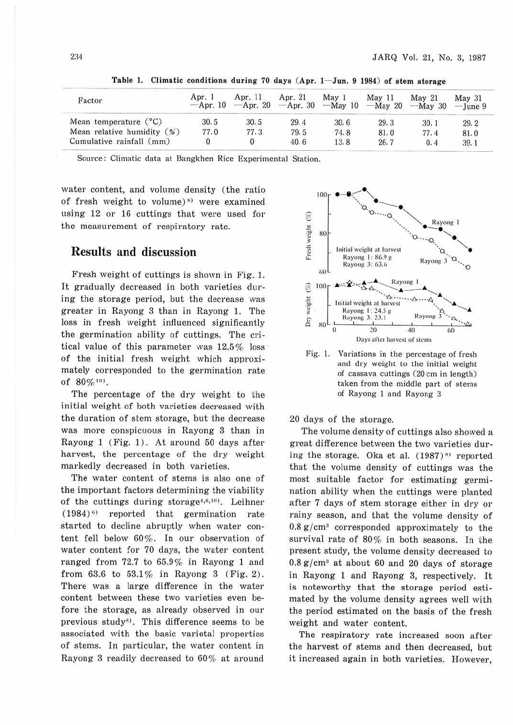| Factor                                  | Apr. 1<br>$-Apr. 10$ | Apr. 11<br>$-Apr. 20$ | Apr. 21<br>$-Apr.$ 30 | May <sub>1</sub><br>$-May$ 10 $-May$ 20 | May 11 | Mav <sub>21</sub><br>$-Mav$ 30 | Mav <sub>31</sub><br>$-\text{June }9$ |
|-----------------------------------------|----------------------|-----------------------|-----------------------|-----------------------------------------|--------|--------------------------------|---------------------------------------|
| Mean temperature $(^{\circ}C)$          | 30.5                 | 30.5                  | 29.4                  | 30.6                                    | 29.3   | 30.1                           | 29.2                                  |
| Mean relative humidity $(\frac{96}{6})$ | 77.0                 | 77.3                  | 79.5                  | 74.8                                    | 81.0   | 77.4                           | 81.0                                  |
| Cumulative rainfall (mm)                |                      |                       | 40.6                  | 13.8                                    | 26.7   | 0.4                            | 39.1                                  |

Table 1. Climatic conditions during 70 days  $(Apr. 1-Jun. 9 1984)$  of stem storage

Source: Climatic data at Bangkhen Rice Experimental Station.

water content, and volume density (the ratio of fresh weight to volume)<sup> $s)$ </sup> were examined using 12 or 16 cuttings that were used for the measurement of respiratory rate.

#### Results and discussion

Fresh weight of cuttings is shown in Fig. 1. It gradually decreased in both varieties during the storage period, but the decrease was greater in Rayong 3 than in Rayong 1. The loss in fresh weight influenced significantly the germination ability of cuttings. The critical value of this parameter was 12.5% loss of the initial fresh weight which approximately corresponded to the germination rate of  $80\%$ <sup>10</sup>.

The percentage of the dry weight to the initial weight of both varieties decreased with the duration of stem storage, but the decrease was more conspicuous in Rayong 3 than in Rayong 1 (Fig. 1) . At around 50 days after harvest, the percentage of the dry weight markedly decreased in both varieties.

The water content of stems is also one of the important factors determining the viability of the cuttings during storage<sup>4,6,10</sup>). Leihner  $(1984)^6$  reported that germination rate started to decline abruptly when water content fell below 60%. In our observation of water content for 70 days, the water content ranged from 72.7 to 65.9% in Rayong 1 and from 63.6 to 53.1% in Rayong 3 (Fig. 2). There was a large difference in the water content between these two varieties even before the storage, as already observed in our previous study<sup>8)</sup>. This difference seems to be associated with the basic varietal properties of stems. In particular, the water content in Rayong 3 readily decreased to  $60\%$  at around



Fig. 1. Variations in the percentage of fresh and dry weight to the initial weight of cassava cuttings (20 cm in length) taken from the middle part of stems of Rayong l and Rayong 3

20 days of the storage.

The volume density of cuttings also showed a great difference between the two varieties during the storage. Oka et al.  $(1987)^{8}$  reported that the volume density of cuttings was the most suitable factor for estimating germination ability when the cuttings were planted after 7 days of stem storage either in dry or rainy season, and that the volume density of  $0.8 \text{ g/cm}^3$  corresponded approximately to the survival rate of 80% in both seasons. In the present study, the volume density decreased to 0.8 g/cm3 at about 60 and 20 days of storage in Rayong 1 and Rayong 3, respectively. It is noteworthy that the storage period estimated by the volume density agrees well with the period estimated on the basis of the fresh weight and water content.

The respiratory rate increased soon after the harvest of stems and then decreased, but it increased again in both varieties. However,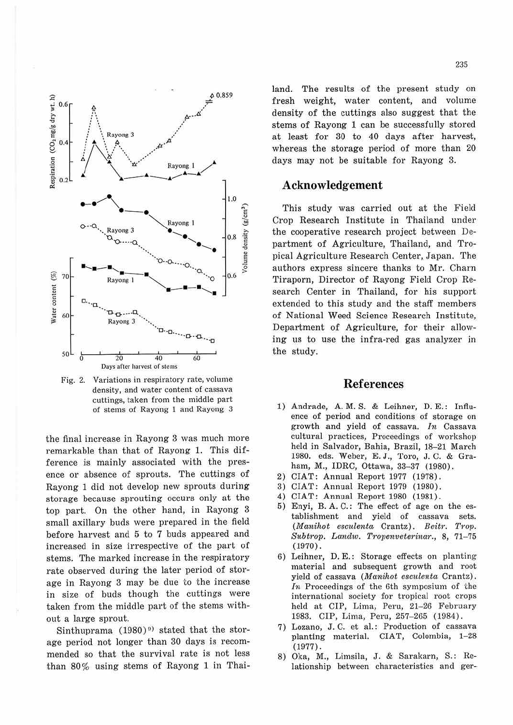

Fig. 2. Variations in respiratory rate, volume density, and water content of cassava cuttings, taken from the middle part of stems of Rayong 1 and Rayong 3

the final increase in Rayong 3 was much more remarkable than that of Rayong 1. This difference is mainly associated with the presence or absence of sprouts. The cuttings of Rayong 1 did not develop new sprouts during storage because sprouting occurs only at the top part. On the other hand, in Rayong 3 small axillary buds were prepared in the field before harvest and 5 to 7 buds appeared and increased in size irrespective of the part of stems. The marked increase in the respiratory rate observed during the later period of storage in Rayong 3 may be due to the increase in size of buds though the cuttings were taken from the middle part of the stems without a large sprout.

Sinthuprama (1980)<sup>9)</sup> stated that the storage period not longer than 30 days is recommended so that the survival rate is not less than 80% using stems of Rayong 1 in Thailand. The results of the present study on fresh weight, water content, and volume density of the cuttings also suggest that the stems of Rayong 1 can be successfully stored at least for 30 to 40 days after harvest, whereas the storage period of more than 20 days may not be suitable for Rayong 3.

#### Acknowledgement

This study was carried out at the Field Crop Research Institute in Thailand under the cooperative research project between Department of Agriculture, Thailand, and Tropical Agriculture Research Center, Japan. The authors express sincere thanks to Mr. Charn Tiraporn, Director of Rayong Field Crop Research Center in Thailand, for his support extended to this study and the staff members of National Weed Science Research Institute. Department of Agriculture, for their allowing us to use the infra-red gas analyzer in the study.

### **References**

- 1) Andrade, A. M. S. & Leihner, D. E.: Influence of period and conditions of storage on growth and yield of cassava. In Cassava cultural practices, Proceedings of workshop held in Salvador, Bahia, Brazil, 18-21 March 1980. eds. Weber, E. J., Toro, J. C. & Graham, M., IDRC, Ottawa, 33-37 (1980).
- 2) CIAT: Annual Report 1977 (1978).
- 3) CIAT: Annual Report 1979 (1980).
- 4) CIAT: Annual Report 1980 (1981).
- 5) Enyi, B.A.C.: The effect of age on the establishment and yield of cassava sets. (Manihot esculenta Crantz). Beitr. Trop. Subtrop. Landw. Tropenveterinar., 8, 71-75  $(1970)$ .
- 6) Leihner, D. E.: Storage effects on planting material and subsequent growth and root yield of cassava (Manihot esculenta Crantz). In Proceedings of the 6th symposium of the international society for tropical root crops held at CIP, Lima, Peru, 21-26 February 1983. CIP, Lima, Peru, 257-265 (1984).
- 7) Lozano, J.C. et al.: Production of cassava planting material. CIAT, Colombia, 1-28  $(1977).$
- 8) Oka, M., Limsila, J. & Sarakarn, S.: Relationship between characteristics and ger-